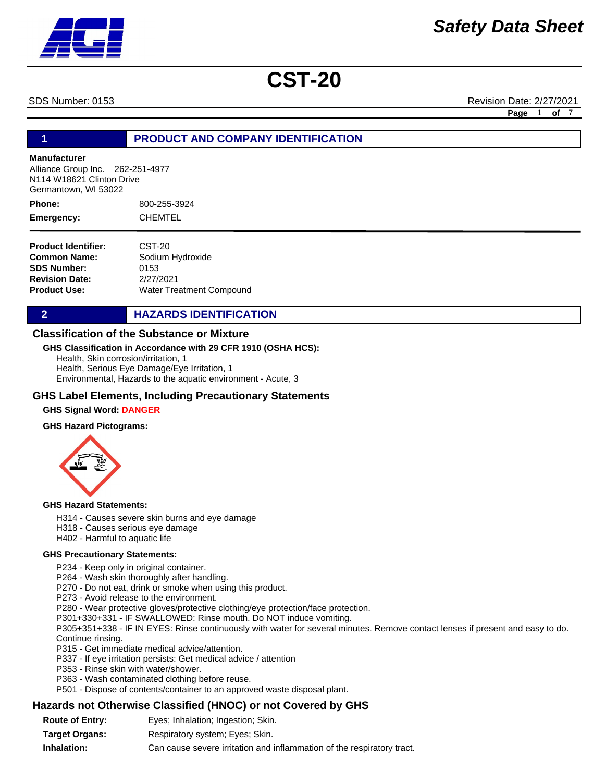SDS Number: 0153 Revision Date: 2/27/2021

**Page** 1 **of** 7

#### **1 PRODUCT AND COMPANY IDENTIFICATION**

#### **Manufacturer**

Alliance Group Inc. 262-251-4977 N114 W18621 Clinton Drive Germantown, WI 53022

800-255-3924 CHEMTEL **Phone: Emergency:**

| <b>Product Identifier:</b> | CST-20                   |
|----------------------------|--------------------------|
| Common Name:               | Sodium Hydroxide         |
| <b>SDS Number:</b>         | 0153                     |
| <b>Revision Date:</b>      | 2/27/2021                |
| Product Use:               | Water Treatment Compound |

**2 HAZARDS IDENTIFICATION** 

#### **Classification of the Substance or Mixture**

#### **GHS Classification in Accordance with 29 CFR 1910 (OSHA HCS):**

Health, Skin corrosion/irritation, 1 Health, Serious Eye Damage/Eye Irritation, 1 Environmental, Hazards to the aquatic environment - Acute, 3

#### **GHS Label Elements, Including Precautionary Statements**

#### **GHS Signal Word: DANGER**

#### **GHS Hazard Pictograms:**



#### **GHS Hazard Statements:**

- H314 Causes severe skin burns and eye damage
- H318 Causes serious eye damage
- H402 Harmful to aquatic life

#### **GHS Precautionary Statements:**

P234 - Keep only in original container.

P264 - Wash skin thoroughly after handling.

- P270 Do not eat, drink or smoke when using this product.
- P273 Avoid release to the environment.

P280 - Wear protective gloves/protective clothing/eye protection/face protection.

P301+330+331 - IF SWALLOWED: Rinse mouth. Do NOT induce vomiting.

P305+351+338 - IF IN EYES: Rinse continuously with water for several minutes. Remove contact lenses if present and easy to do. Continue rinsing.

- P315 Get immediate medical advice/attention.
- P337 If eye irritation persists: Get medical advice / attention
- P353 Rinse skin with water/shower.
- P363 Wash contaminated clothing before reuse.
- P501 Dispose of contents/container to an approved waste disposal plant.

#### **Hazards not Otherwise Classified (HNOC) or not Covered by GHS**

**Route of Entry: Target Organs: Inhalation:** Respiratory system; Eyes; Skin. Can cause severe irritation and inflammation of the respiratory tract. Eyes; Inhalation; Ingestion; Skin.

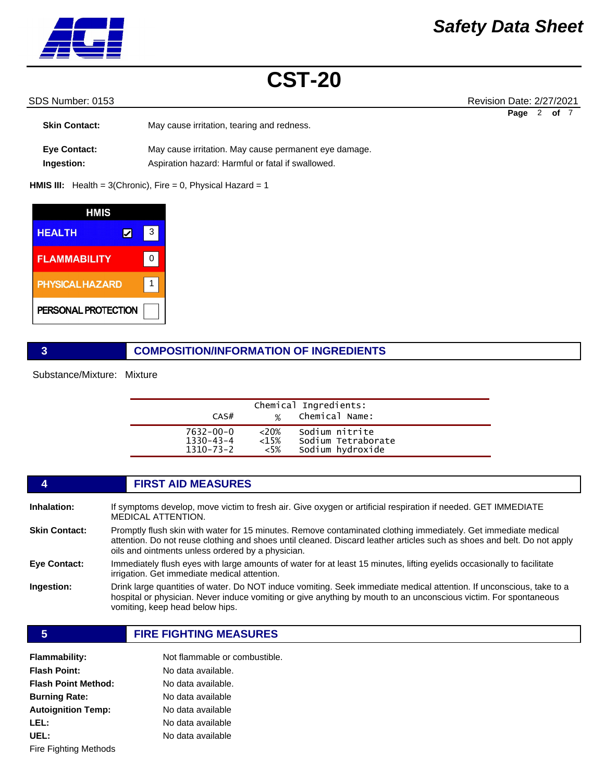

#### SDS Number: 0153 **Revision Date: 2/27/2021**

| <b>Skin Contact:</b>              | May cause irritation, tearing and redness.                                                                 | Page | of 7 |  |
|-----------------------------------|------------------------------------------------------------------------------------------------------------|------|------|--|
| <b>Eye Contact:</b><br>Ingestion: | May cause irritation. May cause permanent eye damage.<br>Aspiration hazard: Harmful or fatal if swallowed. |      |      |  |

**HMIS III:** Health = 3(Chronic), Fire = 0, Physical Hazard = 1

| HMIS                   |   |  |
|------------------------|---|--|
| <b>HEALTH</b>          |   |  |
| <b>FLAMMABILITY</b>    | ი |  |
| <b>PHYSICAL HAZARD</b> |   |  |
| PERSONAL PROTECTION    |   |  |

#### **3 COMPOSITION/INFORMATION OF INGREDIENTS**

Substance/Mixture: Mixture

|                                    |                    | Chemical Ingredients:                |  |
|------------------------------------|--------------------|--------------------------------------|--|
| CAS#                               | $\frac{1}{2}$      | Chemical Name:                       |  |
| $7632 - 00 - 0$<br>$1330 - 43 - 4$ | $<20\%$<br>$<15\%$ | Sodium nitrite<br>Sodium Tetraborate |  |
| $1310 - 73 - 2$                    | $<5\%$             | Sodium hydroxide                     |  |

|                      | <b>FIRST AID MEASURES</b>                                                                                                                                                                                                                                                                      |
|----------------------|------------------------------------------------------------------------------------------------------------------------------------------------------------------------------------------------------------------------------------------------------------------------------------------------|
| Inhalation:          | If symptoms develop, move victim to fresh air. Give oxygen or artificial respiration if needed. GET IMMEDIATE<br><b>MEDICAL ATTENTION.</b>                                                                                                                                                     |
| <b>Skin Contact:</b> | Promptly flush skin with water for 15 minutes. Remove contaminated clothing immediately. Get immediate medical<br>attention. Do not reuse clothing and shoes until cleaned. Discard leather articles such as shoes and belt. Do not apply<br>oils and ointments unless ordered by a physician. |
| Eye Contact:         | Immediately flush eyes with large amounts of water for at least 15 minutes, lifting eyelids occasionally to facilitate<br>irrigation. Get immediate medical attention.                                                                                                                         |
| Ingestion:           | Drink large quantities of water. Do NOT induce vomiting. Seek immediate medical attention. If unconscious, take to a<br>hospital or physician. Never induce vomiting or give anything by mouth to an unconscious victim. For spontaneous<br>vomiting, keep head below hips.                    |
|                      |                                                                                                                                                                                                                                                                                                |

#### **5 FIRE FIGHTING MEASURES**

| <b>Flammability:</b>       | Not flammable or combustible. |
|----------------------------|-------------------------------|
| <b>Flash Point:</b>        | No data available.            |
| <b>Flash Point Method:</b> | No data available.            |
| <b>Burning Rate:</b>       | No data available             |
| <b>Autoignition Temp:</b>  | No data available             |
| LEL:                       | No data available             |
| UEL:                       | No data available             |
| Fire Fighting Methods      |                               |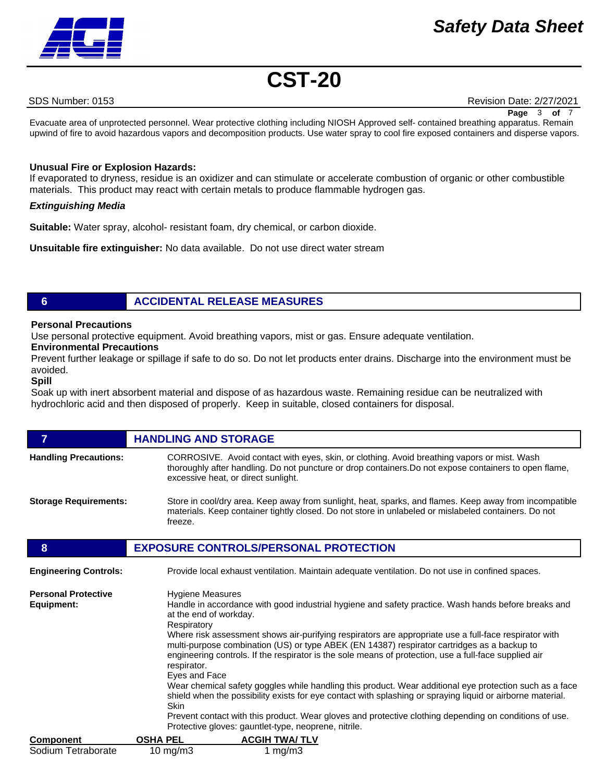## *Safety Data Sheet*



## **CST-20**

SDS Number: 0153 Revision Date: 2/27/2021

Evacuate area of unprotected personnel. Wear protective clothing including NIOSH Approved self- contained breathing apparatus. Remain **Page** 3 **of** 7

upwind of fire to avoid hazardous vapors and decomposition products. Use water spray to cool fire exposed containers and disperse vapors.

#### **Unusual Fire or Explosion Hazards:**

If evaporated to dryness, residue is an oxidizer and can stimulate or accelerate combustion of organic or other combustible materials. This product may react with certain metals to produce flammable hydrogen gas.

#### *Extinguishing Media*

**Suitable:** Water spray, alcohol- resistant foam, dry chemical, or carbon dioxide.

**Unsuitable fire extinguisher:** No data available. Do not use direct water stream

### **6 ACCIDENTAL RELEASE MEASURES**

#### **Personal Precautions**

Use personal protective equipment. Avoid breathing vapors, mist or gas. Ensure adequate ventilation.

#### **Environmental Precautions**

Prevent further leakage or spillage if safe to do so. Do not let products enter drains. Discharge into the environment must be avoided.

#### **Spill**

Soak up with inert absorbent material and dispose of as hazardous waste. Remaining residue can be neutralized with hydrochloric acid and then disposed of properly. Keep in suitable, closed containers for disposal.

|                                          | <b>HANDLING AND STORAGE</b>                                                                                                                                                                                                                                                                                                                                                                                                                                                                                                                                                                                                                                                                                                                               |
|------------------------------------------|-----------------------------------------------------------------------------------------------------------------------------------------------------------------------------------------------------------------------------------------------------------------------------------------------------------------------------------------------------------------------------------------------------------------------------------------------------------------------------------------------------------------------------------------------------------------------------------------------------------------------------------------------------------------------------------------------------------------------------------------------------------|
| <b>Handling Precautions:</b>             | CORROSIVE. Avoid contact with eyes, skin, or clothing. Avoid breathing vapors or mist. Wash<br>thoroughly after handling. Do not puncture or drop containers. Do not expose containers to open flame,<br>excessive heat, or direct sunlight.                                                                                                                                                                                                                                                                                                                                                                                                                                                                                                              |
| <b>Storage Requirements:</b>             | Store in cool/dry area. Keep away from sunlight, heat, sparks, and flames. Keep away from incompatible<br>materials. Keep container tightly closed. Do not store in unlabeled or mislabeled containers. Do not<br>freeze.                                                                                                                                                                                                                                                                                                                                                                                                                                                                                                                                 |
| 8                                        | <b>EXPOSURE CONTROLS/PERSONAL PROTECTION</b>                                                                                                                                                                                                                                                                                                                                                                                                                                                                                                                                                                                                                                                                                                              |
| <b>Engineering Controls:</b>             | Provide local exhaust ventilation. Maintain adequate ventilation. Do not use in confined spaces.                                                                                                                                                                                                                                                                                                                                                                                                                                                                                                                                                                                                                                                          |
| <b>Personal Protective</b><br>Equipment: | <b>Hygiene Measures</b><br>Handle in accordance with good industrial hygiene and safety practice. Wash hands before breaks and<br>at the end of workday.<br>Respiratory<br>Where risk assessment shows air-purifying respirators are appropriate use a full-face respirator with<br>multi-purpose combination (US) or type ABEK (EN 14387) respirator cartridges as a backup to<br>engineering controls. If the respirator is the sole means of protection, use a full-face supplied air<br>respirator.<br>Eyes and Face<br>Wear chemical safety goggles while handling this product. Wear additional eye protection such as a face<br>shield when the possibility exists for eye contact with splashing or spraying liquid or airborne material.<br>Skin |

Prevent contact with this product. Wear gloves and protective clothing depending on conditions of use. Protective gloves: gauntlet-type, neoprene, nitrile.

| <b>Component</b>   | <b>OSHA PEL</b> | <b>ACGIH TWA/TLV</b> |
|--------------------|-----------------|----------------------|
| Sodium Tetraborate | 10 mg/m $3$     | 1 mg/m $3$           |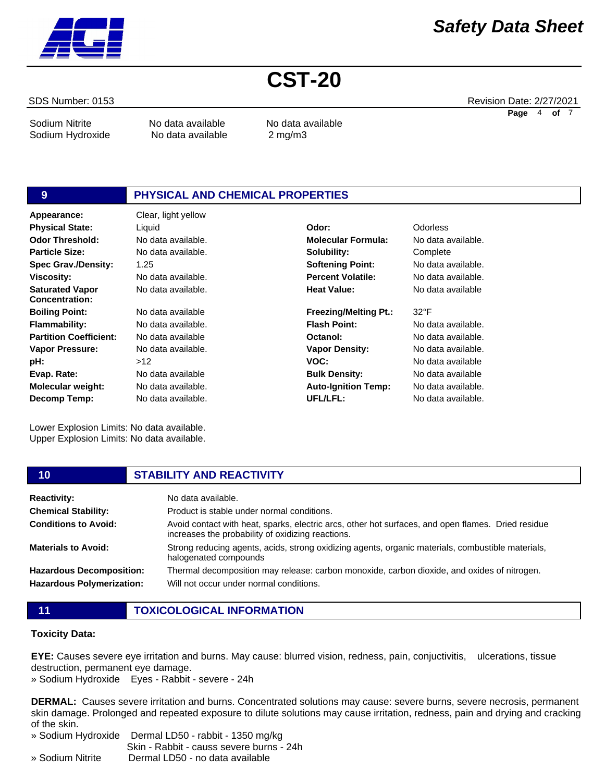

Sodium Nitrite **No data available** No data available

Sodium Hydroxide No data available 2 mg/m3

## **9 PHYSICAL AND CHEMICAL PROPERTIES**

**Appearance:** Clear, light yellow No data available. 1.25 No data available. No data available. No data available No data available. No data available No data available.  $>12$ No data available No data available. No data available. **Odor Threshold: Particle Size: Spec Grav./Density: Viscosity: Saturated Vapor Concentration: Boiling Point: Flammability: Partition Coefficient: Vapor Pressure: pH: Evap. Rate: Molecular weight: Decomp Temp: Physical State:** Liquid **Odor:** Odorless

Lower Explosion Limits: No data available. Upper Explosion Limits: No data available.

No data available. **Molecular Formula:** No data available. **Solubility: Softening Point: Percent Volatile: Heat Value: Freezing/Melting Pt.: Flash Point: Octanol: Vapor Density: VOC: Bulk Density: Auto-Ignition Temp:** No data available

**Complete** No data available. No data available.

32°F No data available. No data available. No data available. No data available No data available No data available. No data available.

| 10                                                                  | <b>STABILITY AND REACTIVITY</b>                                                                                                                         |
|---------------------------------------------------------------------|---------------------------------------------------------------------------------------------------------------------------------------------------------|
| <b>Reactivity:</b>                                                  | No data available.                                                                                                                                      |
| <b>Chemical Stability:</b>                                          | Product is stable under normal conditions.                                                                                                              |
| <b>Conditions to Avoid:</b>                                         | Avoid contact with heat, sparks, electric arcs, other hot surfaces, and open flames. Dried residue<br>increases the probability of oxidizing reactions. |
| <b>Materials to Avoid:</b>                                          | Strong reducing agents, acids, strong oxidizing agents, organic materials, combustible materials,<br>halogenated compounds                              |
| <b>Hazardous Decomposition:</b><br><b>Hazardous Polymerization:</b> | Thermal decomposition may release: carbon monoxide, carbon dioxide, and oxides of nitrogen.<br>Will not occur under normal conditions.                  |

**UFL/LFL:**

- 
- **11 TOXICOLOGICAL INFORMATION**

#### **Toxicity Data:**

**EYE:** Causes severe eye irritation and burns. May cause: blurred vision, redness, pain, conjuctivitis, ulcerations, tissue destruction, permanent eye damage.

» Sodium Hydroxide Eyes - Rabbit - severe - 24h

**DERMAL:** Causes severe irritation and burns. Concentrated solutions may cause: severe burns, severe necrosis, permanent skin damage. Prolonged and repeated exposure to dilute solutions may cause irritation, redness, pain and drying and cracking of the skin.

» Sodium Hydroxide Dermal LD50 - rabbit - 1350 mg/kg

Skin - Rabbit - causs severe burns - 24h

» Sodium Nitrite Dermal LD50 - no data available

SDS Number: 0153 Revision Date: 2/27/2021 **Page** 4 **of** 7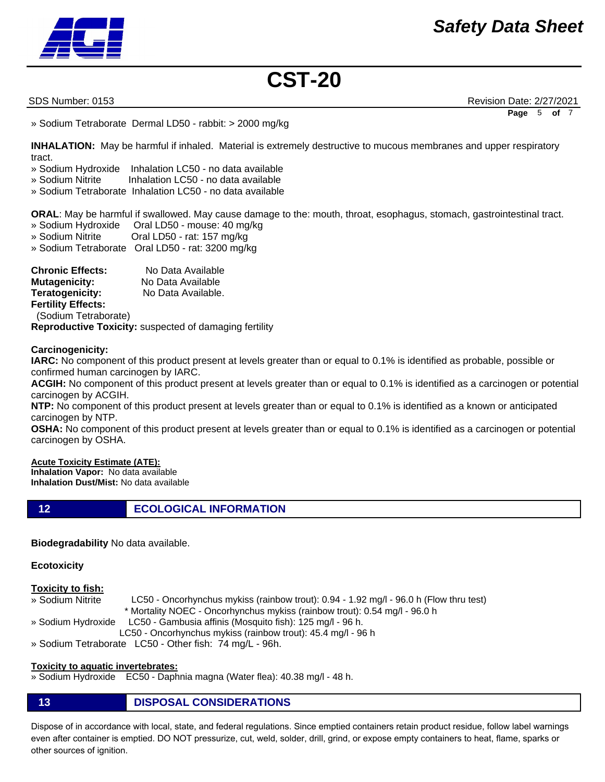

SDS Number: 0153 Revision Date: 2/27/2021 **Page** 5 **of** 7

» Sodium Tetraborate Dermal LD50 - rabbit: > 2000 mg/kg

**INHALATION:** May be harmful if inhaled. Material is extremely destructive to mucous membranes and upper respiratory tract.

- » Sodium Hydroxide Inhalation LC50 no data available
- » Sodium Nitrite Inhalation LC50 no data available
- » Sodium Tetraborate Inhalation LC50 no data available

**ORAL**: May be harmful if swallowed. May cause damage to the: mouth, throat, esophagus, stomach, gastrointestinal tract.

- » Sodium Hydroxide Oral LD50 mouse: 40 mg/kg
- » Sodium Nitrite Oral LD50 rat: 157 mg/kg
- » Sodium Tetraborate Oral LD50 rat: 3200 mg/kg

**Chronic Effects:** No Data Available **Mutagenicity:** No Data Available **Teratogenicity:** No Data Available. **Fertility Effects:**  (Sodium Tetraborate) **Reproductive Toxicity:** suspected of damaging fertility

**Carcinogenicity:**

**IARC:** No component of this product present at levels greater than or equal to 0.1% is identified as probable, possible or confirmed human carcinogen by IARC.

**ACGIH:** No component of this product present at levels greater than or equal to 0.1% is identified as a carcinogen or potential carcinogen by ACGIH.

**NTP:** No component of this product present at levels greater than or equal to 0.1% is identified as a known or anticipated carcinogen by NTP.

**OSHA:** No component of this product present at levels greater than or equal to 0.1% is identified as a carcinogen or potential carcinogen by OSHA.

#### **Acute Toxicity Estimate (ATE):**

**Inhalation Vapor:** No data available **Inhalation Dust/Mist:** No data available

**12 ECOLOGICAL INFORMATION** 

**Biodegradability** No data available.

#### **Ecotoxicity**

#### **Toxicity to fish:**

- » Sodium Nitrite LC50 Oncorhynchus mykiss (rainbow trout): 0.94 1.92 mg/l 96.0 h (Flow thru test)
	- \* Mortality NOEC Oncorhynchus mykiss (rainbow trout): 0.54 mg/l 96.0 h
- » Sodium Hydroxide LC50 Gambusia affinis (Mosquito fish): 125 mg/l 96 h.
- LC50 Oncorhynchus mykiss (rainbow trout): 45.4 mg/l 96 h
- » Sodium Tetraborate LC50 Other fish: 74 mg/L 96h.

#### **Toxicity to aquatic invertebrates:**

- » Sodium Hydroxide EC50 Daphnia magna (Water flea): 40.38 mg/l 48 h.
- **13 DISPOSAL CONSIDERATIONS**

Dispose of in accordance with local, state, and federal regulations. Since emptied containers retain product residue, follow label warnings even after container is emptied. DO NOT pressurize, cut, weld, solder, drill, grind, or expose empty containers to heat, flame, sparks or other sources of ignition.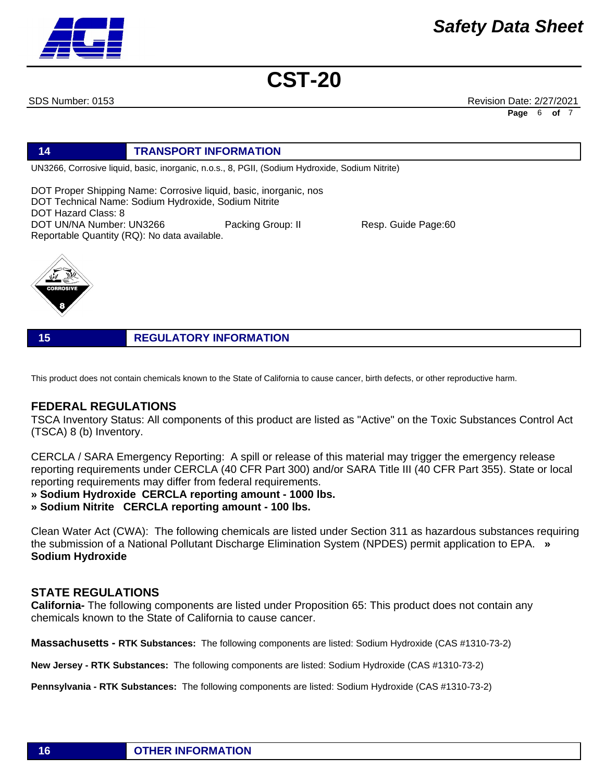

SDS Number: 0153 Revision Date: 2/27/2021 **Page** 6 **of** 7

### **14 TRANSPORT INFORMATION**

UN3266, Corrosive liquid, basic, inorganic, n.o.s., 8, PGII, (Sodium Hydroxide, Sodium Nitrite)

DOT Proper Shipping Name: Corrosive liquid, basic, inorganic, nos DOT Technical Name: Sodium Hydroxide, Sodium Nitrite DOT Hazard Class: 8 DOT UN/NA Number: UN3266 Packing Group: II Resp. Guide Page:60 Reportable Quantity (RQ): No data available.



**15 REGULATORY INFORMATION**

This product does not contain chemicals known to the State of California to cause cancer, birth defects, or other reproductive harm.

### **FEDERAL REGULATIONS**

TSCA Inventory Status: All components of this product are listed as "Active" on the Toxic Substances Control Act (TSCA) 8 (b) Inventory.

CERCLA / SARA Emergency Reporting: A spill or release of this material may trigger the emergency release reporting requirements under CERCLA (40 CFR Part 300) and/or SARA Title III (40 CFR Part 355). State or local reporting requirements may differ from federal requirements.

**» Sodium Hydroxide CERCLA reporting amount - 1000 lbs.** 

**» Sodium Nitrite CERCLA reporting amount - 100 lbs.**

Clean Water Act (CWA): The following chemicals are listed under Section 311 as hazardous substances requiring the submission of a National Pollutant Discharge Elimination System (NPDES) permit application to EPA. **» Sodium Hydroxide**

### **STATE REGULATIONS**

**California-** The following components are listed under Proposition 65: This product does not contain any chemicals known to the State of California to cause cancer.

**Massachusetts - RTK Substances:** The following components are listed: Sodium Hydroxide (CAS #1310-73-2)

**New Jersey - RTK Substances:** The following components are listed: Sodium Hydroxide (CAS #1310-73-2)

**Pennsylvania - RTK Substances:** The following components are listed: Sodium Hydroxide (CAS #1310-73-2)